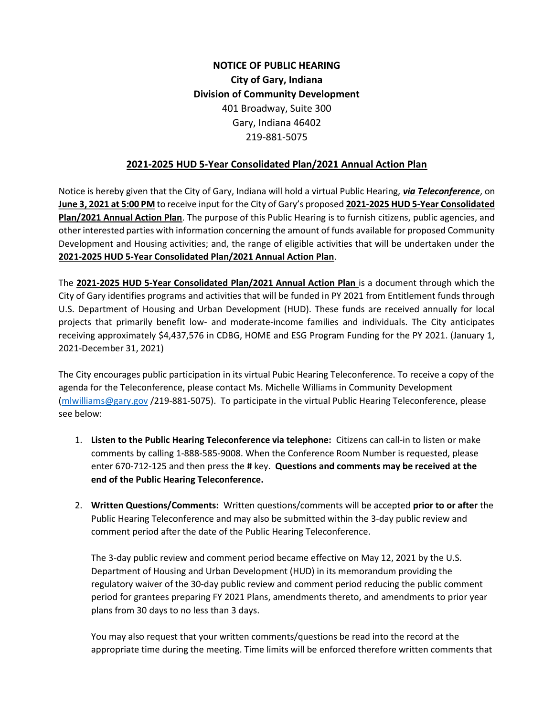## NOTICE OF PUBLIC HEARING City of Gary, Indiana Division of Community Development 401 Broadway, Suite 300 Gary, Indiana 46402 219-881-5075

## 2021-2025 HUD 5-Year Consolidated Plan/2021 Annual Action Plan

Notice is hereby given that the City of Gary, Indiana will hold a virtual Public Hearing, via Teleconference, on June 3, 2021 at 5:00 PM to receive input for the City of Gary's proposed 2021-2025 HUD 5-Year Consolidated Plan/2021 Annual Action Plan. The purpose of this Public Hearing is to furnish citizens, public agencies, and other interested parties with information concerning the amount of funds available for proposed Community Development and Housing activities; and, the range of eligible activities that will be undertaken under the 2021-2025 HUD 5-Year Consolidated Plan/2021 Annual Action Plan.

The 2021-2025 HUD 5-Year Consolidated Plan/2021 Annual Action Plan is a document through which the City of Gary identifies programs and activities that will be funded in PY 2021 from Entitlement funds through U.S. Department of Housing and Urban Development (HUD). These funds are received annually for local projects that primarily benefit low- and moderate-income families and individuals. The City anticipates receiving approximately \$4,437,576 in CDBG, HOME and ESG Program Funding for the PY 2021. (January 1, 2021-December 31, 2021)

The City encourages public participation in its virtual Pubic Hearing Teleconference. To receive a copy of the agenda for the Teleconference, please contact Ms. Michelle Williams in Community Development (mlwilliams@gary.gov /219-881-5075). To participate in the virtual Public Hearing Teleconference, please see below:

- 1. Listen to the Public Hearing Teleconference via telephone: Citizens can call-in to listen or make comments by calling 1-888-585-9008. When the Conference Room Number is requested, please enter 670-712-125 and then press the # key. Questions and comments may be received at the end of the Public Hearing Teleconference.
- 2. Written Questions/Comments: Written questions/comments will be accepted prior to or after the Public Hearing Teleconference and may also be submitted within the 3-day public review and comment period after the date of the Public Hearing Teleconference.

The 3-day public review and comment period became effective on May 12, 2021 by the U.S. Department of Housing and Urban Development (HUD) in its memorandum providing the regulatory waiver of the 30-day public review and comment period reducing the public comment period for grantees preparing FY 2021 Plans, amendments thereto, and amendments to prior year plans from 30 days to no less than 3 days.

You may also request that your written comments/questions be read into the record at the appropriate time during the meeting. Time limits will be enforced therefore written comments that